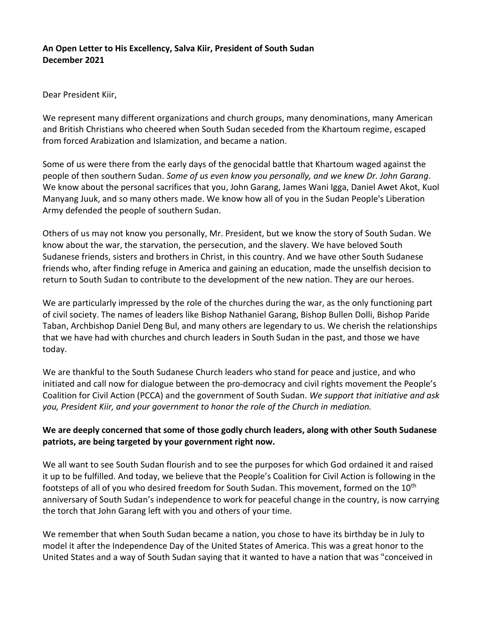# **An Open Letter to His Excellency, Salva Kiir, President of South Sudan December 2021**

## Dear President Kiir,

We represent many different organizations and church groups, many denominations, many American and British Christians who cheered when South Sudan seceded from the Khartoum regime, escaped from forced Arabization and Islamization, and became a nation.

Some of us were there from the early days of the genocidal battle that Khartoum waged against the people of then southern Sudan. *Some of us even know you personally, and we knew Dr. John Garang*. We know about the personal sacrifices that you, John Garang, James Wani Igga, Daniel Awet Akot, Kuol Manyang Juuk, and so many others made. We know how all of you in the Sudan People's Liberation Army defended the people of southern Sudan.

Others of us may not know you personally, Mr. President, but we know the story of South Sudan. We know about the war, the starvation, the persecution, and the slavery. We have beloved South Sudanese friends, sisters and brothers in Christ, in this country. And we have other South Sudanese friends who, after finding refuge in America and gaining an education, made the unselfish decision to return to South Sudan to contribute to the development of the new nation. They are our heroes.

We are particularly impressed by the role of the churches during the war, as the only functioning part of civil society. The names of leaders like Bishop Nathaniel Garang, Bishop Bullen Dolli, Bishop Paride Taban, Archbishop Daniel Deng Bul, and many others are legendary to us. We cherish the relationships that we have had with churches and church leaders in South Sudan in the past, and those we have today.

We are thankful to the South Sudanese Church leaders who stand for peace and justice, and who initiated and call now for dialogue between the pro-democracy and civil rights movement the People's Coalition for Civil Action (PCCA) and the government of South Sudan. *We support that initiative and ask you, President Kiir, and your government to honor the role of the Church in mediation.*

# **We are deeply concerned that some of those godly church leaders, along with other South Sudanese patriots, are being targeted by your government right now.**

We all want to see South Sudan flourish and to see the purposes for which God ordained it and raised it up to be fulfilled. And today, we believe that the People's Coalition for Civil Action is following in the footsteps of all of you who desired freedom for South Sudan. This movement, formed on the 10<sup>th</sup> anniversary of South Sudan's independence to work for peaceful change in the country, is now carrying the torch that John Garang left with you and others of your time.

We remember that when South Sudan became a nation, you chose to have its birthday be in July to model it after the Independence Day of the United States of America. This was a great honor to the United States and a way of South Sudan saying that it wanted to have a nation that was "conceived in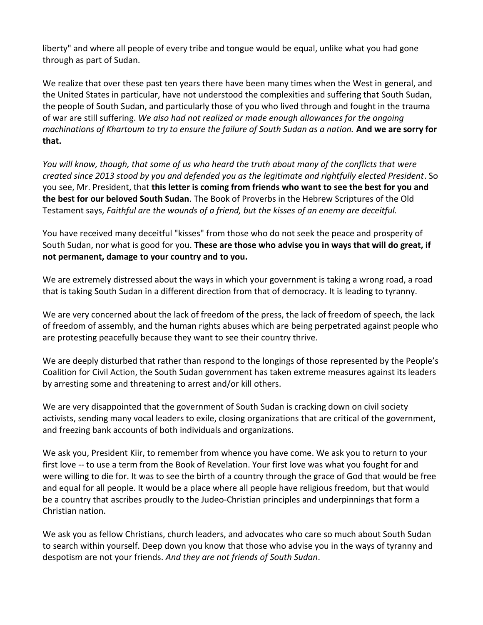liberty" and where all people of every tribe and tongue would be equal, unlike what you had gone through as part of Sudan.

We realize that over these past ten years there have been many times when the West in general, and the United States in particular, have not understood the complexities and suffering that South Sudan, the people of South Sudan, and particularly those of you who lived through and fought in the trauma of war are still suffering. *We also had not realized or made enough allowances for the ongoing machinations of Khartoum to try to ensure the failure of South Sudan as a nation.* **And we are sorry for that.**

*You will know, though, that some of us who heard the truth about many of the conflicts that were created since 2013 stood by you and defended you as the legitimate and rightfully elected President*. So you see, Mr. President, that **this letter is coming from friends who want to see the best for you and the best for our beloved South Sudan**. The Book of Proverbs in the Hebrew Scriptures of the Old Testament says, *Faithful are the wounds of a friend, but the kisses of an enemy are deceitful.*

You have received many deceitful "kisses" from those who do not seek the peace and prosperity of South Sudan, nor what is good for you. **These are those who advise you in ways that will do great, if not permanent, damage to your country and to you.**

We are extremely distressed about the ways in which your government is taking a wrong road, a road that is taking South Sudan in a different direction from that of democracy. It is leading to tyranny.

We are very concerned about the lack of freedom of the press, the lack of freedom of speech, the lack of freedom of assembly, and the human rights abuses which are being perpetrated against people who are protesting peacefully because they want to see their country thrive.

We are deeply disturbed that rather than respond to the longings of those represented by the People's Coalition for Civil Action, the South Sudan government has taken extreme measures against its leaders by arresting some and threatening to arrest and/or kill others.

We are very disappointed that the government of South Sudan is cracking down on civil society activists, sending many vocal leaders to exile, closing organizations that are critical of the government, and freezing bank accounts of both individuals and organizations.

We ask you, President Kiir, to remember from whence you have come. We ask you to return to your first love -- to use a term from the Book of Revelation. Your first love was what you fought for and were willing to die for. It was to see the birth of a country through the grace of God that would be free and equal for all people. It would be a place where all people have religious freedom, but that would be a country that ascribes proudly to the Judeo-Christian principles and underpinnings that form a Christian nation.

We ask you as fellow Christians, church leaders, and advocates who care so much about South Sudan to search within yourself. Deep down you know that those who advise you in the ways of tyranny and despotism are not your friends. *And they are not friends of South Sudan*.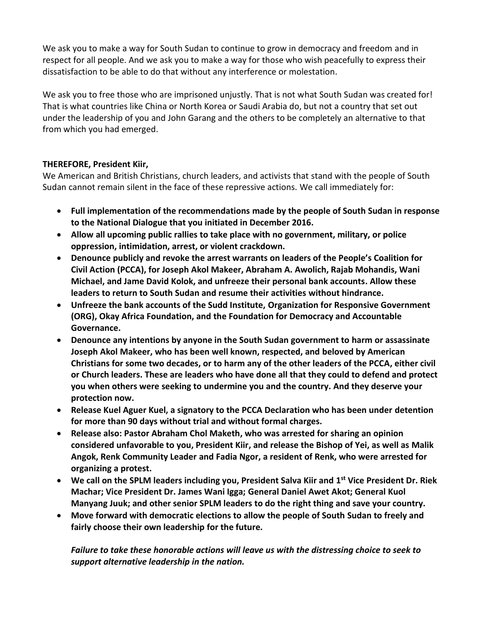We ask you to make a way for South Sudan to continue to grow in democracy and freedom and in respect for all people. And we ask you to make a way for those who wish peacefully to express their dissatisfaction to be able to do that without any interference or molestation.

We ask you to free those who are imprisoned unjustly. That is not what South Sudan was created for! That is what countries like China or North Korea or Saudi Arabia do, but not a country that set out under the leadership of you and John Garang and the others to be completely an alternative to that from which you had emerged.

# **THEREFORE, President Kiir,**

We American and British Christians, church leaders, and activists that stand with the people of South Sudan cannot remain silent in the face of these repressive actions. We call immediately for:

- **Full implementation of the recommendations made by the people of South Sudan in response to the National Dialogue that you initiated in December 2016.**
- **Allow all upcoming public rallies to take place with no government, military, or police oppression, intimidation, arrest, or violent crackdown.**
- **Denounce publicly and revoke the arrest warrants on leaders of the People's Coalition for Civil Action (PCCA), for Joseph Akol Makeer, Abraham A. Awolich, Rajab Mohandis, Wani Michael, and Jame David Kolok, and unfreeze their personal bank accounts. Allow these leaders to return to South Sudan and resume their activities without hindrance.**
- **Unfreeze the bank accounts of the Sudd Institute, Organization for Responsive Government (ORG), Okay Africa Foundation, and the Foundation for Democracy and Accountable Governance.**
- **Denounce any intentions by anyone in the South Sudan government to harm or assassinate Joseph Akol Makeer, who has been well known, respected, and beloved by American Christians for some two decades, or to harm any of the other leaders of the PCCA, either civil or Church leaders. These are leaders who have done all that they could to defend and protect you when others were seeking to undermine you and the country. And they deserve your protection now.**
- **Release Kuel Aguer Kuel, a signatory to the PCCA Declaration who has been under detention for more than 90 days without trial and without formal charges.**
- **Release also: Pastor Abraham Chol Maketh, who was arrested for sharing an opinion considered unfavorable to you, President Kiir, and release the Bishop of Yei, as well as Malik Angok, Renk Community Leader and Fadia Ngor, a resident of Renk, who were arrested for organizing a protest.**
- **We call on the SPLM leaders including you, President Salva Kiir and 1 st Vice President Dr. Riek Machar; Vice President Dr. James Wani Igga; General Daniel Awet Akot; General Kuol Manyang Juuk; and other senior SPLM leaders to do the right thing and save your country.**
- **Move forward with democratic elections to allow the people of South Sudan to freely and fairly choose their own leadership for the future.**

*Failure to take these honorable actions will leave us with the distressing choice to seek to support alternative leadership in the nation.*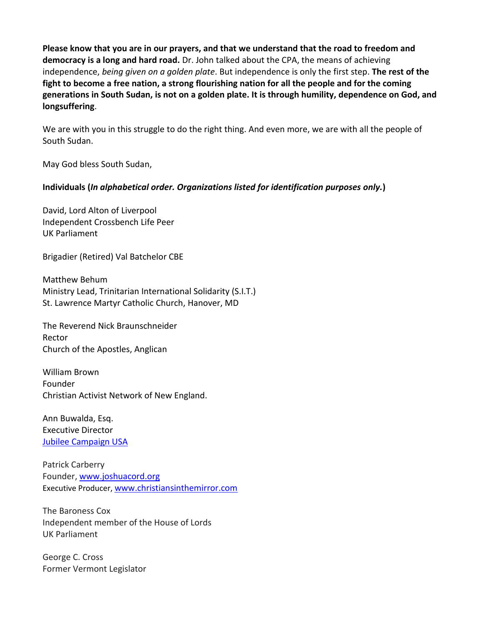**Please know that you are in our prayers, and that we understand that the road to freedom and democracy is a long and hard road.** Dr. John talked about the CPA, the means of achieving independence, *being given on a golden plate*. But independence is only the first step. **The rest of the fight to become a free nation, a strong flourishing nation for all the people and for the coming generations in South Sudan, is not on a golden plate. It is through humility, dependence on God, and longsuffering**.

We are with you in this struggle to do the right thing. And even more, we are with all the people of South Sudan.

May God bless South Sudan,

## **Individuals (***In alphabetical order. Organizations listed for identification purposes only.***)**

David, Lord Alton of Liverpool Independent Crossbench Life Peer UK Parliament

Brigadier (Retired) Val Batchelor CBE

Matthew Behum Ministry Lead, Trinitarian International Solidarity (S.I.T.) St. Lawrence Martyr Catholic Church, Hanover, MD

The Reverend Nick Braunschneider Rector Church of the Apostles, Anglican

William Brown Founder Christian Activist Network of New England.

Ann Buwalda, Esq. Executive Director [Jubilee Campaign USA](https://jubileecampaign.org/)

Patrick Carberry Founder[, www.joshuacord.org](http://www.joshuacord.org/) Executive Producer, [www.christiansinthemirror.com](http://www.christiansinthemirror.com/)

The Baroness Cox Independent member of the House of Lords UK Parliament

George C. Cross Former Vermont Legislator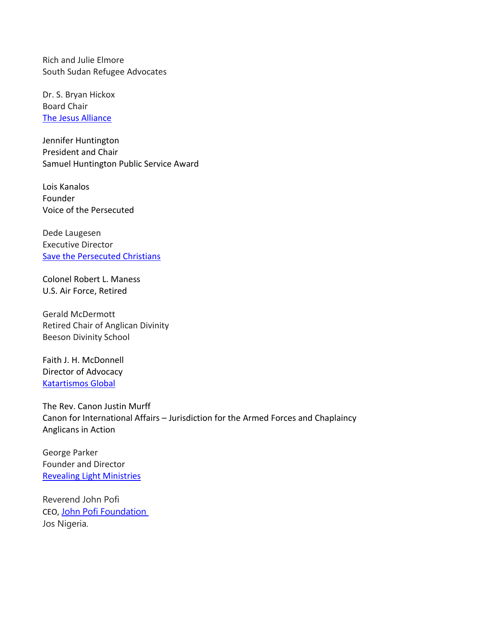Rich and Julie Elmore South Sudan Refugee Advocates

Dr. S. Bryan Hickox Board Chair [The Jesus Alliance](https://thejesusalliance.org/)

Jennifer Huntington President and Chair Samuel Huntington Public Service Award

Lois Kanalos Founder Voice of the Persecuted

Dede Laugesen Executive Director [Save the Persecuted Christians](https://savethepersecutedchristians.org/)

Colonel Robert L. Maness U.S. Air Force, Retired

Gerald McDermott Retired Chair of Anglican Divinity Beeson Divinity School

Faith J. H. McDonnell Director of Advocacy [Katartismos Global](https://kgiglobal.org/)

The Rev. Canon Justin Murff Canon for International Affairs – Jurisdiction for the Armed Forces and Chaplaincy Anglicans in Action

George Parker Founder and Director [Revealing Light Ministries](http://reveallight.org/)

Reverend John Pofi CEO, [John Pofi Foundation](http://www.johnpofifoundation.org/) Jos Nigeria.